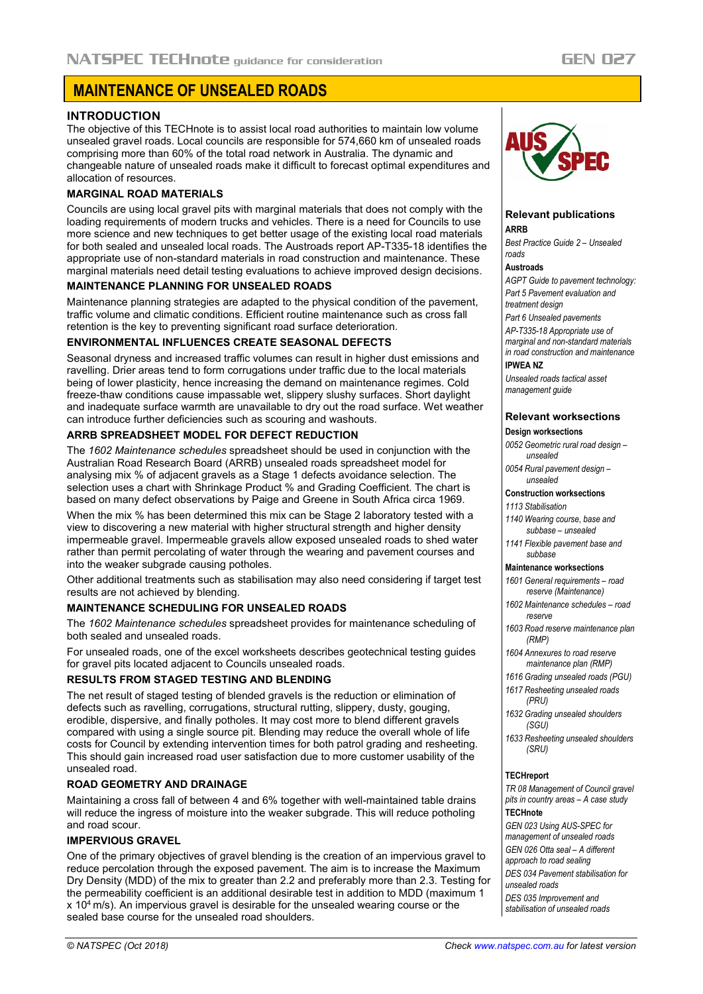# **MAINTENANCE OF UNSEALED ROADS**

# **INTRODUCTION**

The objective of this TECHnote is to assist local road authorities to maintain low volume unsealed gravel roads. Local councils are responsible for 574,660 km of unsealed roads comprising more than 60% of the total road network in Australia. The dynamic and changeable nature of unsealed roads make it difficult to forecast optimal expenditures and allocation of resources.

# **MARGINAL ROAD MATERIALS**

Councils are using local gravel pits with marginal materials that does not comply with the loading requirements of modern trucks and vehicles. There is a need for Councils to use more science and new techniques to get better usage of the existing local road materials for both sealed and unsealed local roads. The Austroads report AP-T335-18 identifies the appropriate use of non-standard materials in road construction and maintenance. These marginal materials need detail testing evaluations to achieve improved design decisions.

### **MAINTENANCE PLANNING FOR UNSEALED ROADS**

Maintenance planning strategies are adapted to the physical condition of the pavement, traffic volume and climatic conditions. Efficient routine maintenance such as cross fall retention is the key to preventing significant road surface deterioration.

# **ENVIRONMENTAL INFLUENCES CREATE SEASONAL DEFECTS**

Seasonal dryness and increased traffic volumes can result in higher dust emissions and ravelling. Drier areas tend to form corrugations under traffic due to the local materials being of lower plasticity, hence increasing the demand on maintenance regimes. Cold freeze-thaw conditions cause impassable wet, slippery slushy surfaces. Short daylight and inadequate surface warmth are unavailable to dry out the road surface. Wet weather can introduce further deficiencies such as scouring and washouts.

# **ARRB SPREADSHEET MODEL FOR DEFECT REDUCTION**

The *1602 Maintenance schedules* spreadsheet should be used in conjunction with the Australian Road Research Board (ARRB) unsealed roads spreadsheet model for analysing mix % of adjacent gravels as a Stage 1 defects avoidance selection. The selection uses a chart with Shrinkage Product % and Grading Coefficient. The chart is based on many defect observations by Paige and Greene in South Africa circa 1969.

When the mix % has been determined this mix can be Stage 2 laboratory tested with a view to discovering a new material with higher structural strength and higher density impermeable gravel. Impermeable gravels allow exposed unsealed roads to shed water rather than permit percolating of water through the wearing and pavement courses and into the weaker subgrade causing potholes.

Other additional treatments such as stabilisation may also need considering if target test results are not achieved by blending.

# **MAINTENANCE SCHEDULING FOR UNSEALED ROADS**

The *1602 Maintenance schedules* spreadsheet provides for maintenance scheduling of both sealed and unsealed roads.

For unsealed roads, one of the excel worksheets describes geotechnical testing guides for gravel pits located adjacent to Councils unsealed roads.

# **RESULTS FROM STAGED TESTING AND BLENDING**

The net result of staged testing of blended gravels is the reduction or elimination of defects such as ravelling, corrugations, structural rutting, slippery, dusty, gouging, erodible, dispersive, and finally potholes. It may cost more to blend different gravels compared with using a single source pit. Blending may reduce the overall whole of life costs for Council by extending intervention times for both patrol grading and resheeting. This should gain increased road user satisfaction due to more customer usability of the unsealed road.

# **ROAD GEOMETRY AND DRAINAGE**

Maintaining a cross fall of between 4 and 6% together with well-maintained table drains will reduce the ingress of moisture into the weaker subgrade. This will reduce potholing and road scour.

#### **IMPERVIOUS GRAVEL**

One of the primary objectives of gravel blending is the creation of an impervious gravel to reduce percolation through the exposed pavement. The aim is to increase the Maximum Dry Density (MDD) of the mix to greater than 2.2 and preferably more than 2.3. Testing for the permeability coefficient is an additional desirable test in addition to MDD (maximum 1  $x$  10<sup>4</sup> m/s). An impervious gravel is desirable for the unsealed wearing course or the sealed base course for the unsealed road shoulders.



#### **Relevant publications ARRB**

*Best Practice Guide 2 – Unsealed roads*

#### **Austroads**

*AGPT Guide to pavement technology: Part 5 Pavement evaluation and treatment design*

*Part 6 Unsealed pavements AP-T335-18 Appropriate use of marginal and non-standard materials in road construction and maintenance* 

#### **IPWEA NZ**

*Unsealed roads tactical asset management guide*

#### **Relevant worksections Design worksections**

*0052 Geometric rural road design – unsealed*

*0054 Rural pavement design – unsealed*

#### **Construction worksections**

*1113 Stabilisation*

*1140 Wearing course, base and subbase – unsealed*

*1141 Flexible pavement base and subbase*

#### **Maintenance worksections**

*1601 General requirements – road reserve (Maintenance)*

- *1602 Maintenance schedules – road reserve*
- *1603 Road reserve maintenance plan (RMP)*
- *1604 Annexures to road reserve maintenance plan (RMP)*
- *1616 Grading unsealed roads (PGU) 1617 Resheeting unsealed roads*

*(PRU)*

*1632 Grading unsealed shoulders (SGU)*

*1633 Resheeting unsealed shoulders (SRU)*

#### **TECHreport**

*TR 08 Management of Council gravel pits in country areas – A case study* **TECHnote**

#### *GEN 023 Using AUS-SPEC for management of unsealed roads*

*GEN 026 Otta seal – A different approach to road sealing DES 034 Pavement stabilisation for unsealed roads*

*DES 035 Improvement and stabilisation of unsealed roads*